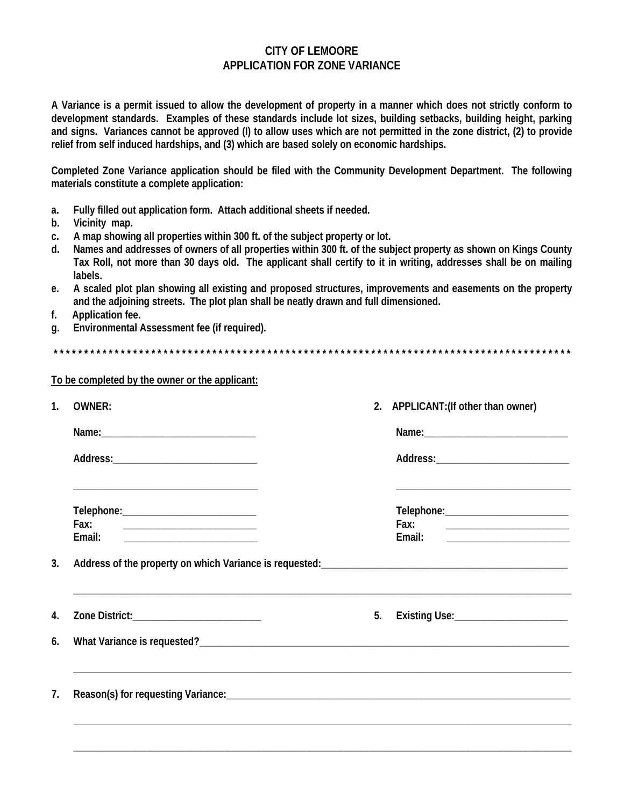## **CITY OF LEMOORE APPLICATION FOR ZONE VARIANCE**

A Variance is a permit issued to allow the development of property in a manner which does not strictly conform to development standards. Examples of these standards include lot sizes, building setbacks, building height, parking and signs. Variances cannot be approved (I) to allow uses which are not permitted in the zone district, (2) to provide relief from self induced hardships, and (3) which are based solely on economic hardships.

Completed Zone Variance application should be filed with the Community Development Department. The following materials constitute a complete application:

- $a<sub>z</sub>$ Fully filled out application form. Attach additional sheets if needed.
- $b.$ Vicinity map.
- A map showing all properties within 300 ft. of the subject property or lot. C.
- Names and addresses of owners of all properties within 300 ft. of the subject property as shown on Kings County d. Tax Roll, not more than 30 days old. The applicant shall certify to it in writing, addresses shall be on mailing labels.
- A scaled plot plan showing all existing and proposed structures, improvements and easements on the property e. and the adjoining streets. The plot plan shall be neatly drawn and full dimensioned.
- $f<sub>r</sub>$ Application fee.
- Environmental Assessment fee (if required). q.

To be completed by the owner or the applicant:

| <b>OWNER:</b>                                                                                                                                                         | 2. APPLICANT: (If other than owner)                                                                                                                           |
|-----------------------------------------------------------------------------------------------------------------------------------------------------------------------|---------------------------------------------------------------------------------------------------------------------------------------------------------------|
|                                                                                                                                                                       |                                                                                                                                                               |
|                                                                                                                                                                       |                                                                                                                                                               |
| the control of the control of the control of the control of the control of the control of<br>Fax:<br>Email:<br><u> 1989 - Johann John Stone, mars eta bainar eta </u> | <u> 2008 - Johann Stoff, deutscher Stoffen und der Stoffen und der Stoffen und der Stoffen und der Stoffen und der</u><br>Email:                              |
|                                                                                                                                                                       |                                                                                                                                                               |
|                                                                                                                                                                       | Address of the property on which Variance is requested:<br><u>Lettic Lines and Communical Communications</u> and the property on which variable is requested: |
| Zone District:____________________________                                                                                                                            |                                                                                                                                                               |
|                                                                                                                                                                       |                                                                                                                                                               |
|                                                                                                                                                                       |                                                                                                                                                               |